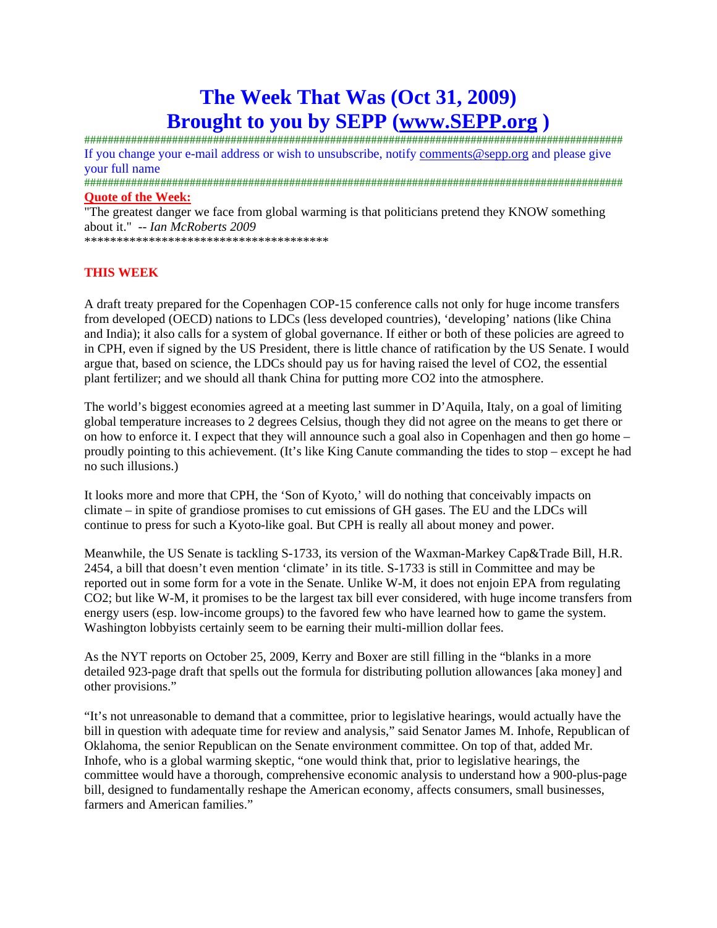**The Week That Was (Oct 31, 2009) Brought to you by SEPP (www.SEPP.org )** 

############################################################################################ If you change your e-mail address or wish to unsubscribe, notify comments@sepp.org and please give your full name ############################################################################################

#### **Quote of the Week:**

"The greatest danger we face from global warming is that politicians pretend they KNOW something about it." -- *Ian McRoberts 2009* 

\*\*\*\*\*\*\*\*\*\*\*\*\*\*\*\*\*\*\*\*\*\*\*\*\*\*\*\*\*\*\*\*\*\*\*\*\*\*

#### **THIS WEEK**

A draft treaty prepared for the Copenhagen COP-15 conference calls not only for huge income transfers from developed (OECD) nations to LDCs (less developed countries), 'developing' nations (like China and India); it also calls for a system of global governance. If either or both of these policies are agreed to in CPH, even if signed by the US President, there is little chance of ratification by the US Senate. I would argue that, based on science, the LDCs should pay us for having raised the level of CO2, the essential plant fertilizer; and we should all thank China for putting more CO2 into the atmosphere.

The world's biggest economies agreed at a meeting last summer in D'Aquila, Italy, on a goal of limiting global temperature increases to 2 degrees Celsius, though they did not agree on the means to get there or on how to enforce it. I expect that they will announce such a goal also in Copenhagen and then go home – proudly pointing to this achievement. (It's like King Canute commanding the tides to stop – except he had no such illusions.)

It looks more and more that CPH, the 'Son of Kyoto,' will do nothing that conceivably impacts on climate – in spite of grandiose promises to cut emissions of GH gases. The EU and the LDCs will continue to press for such a Kyoto-like goal. But CPH is really all about money and power.

Meanwhile, the US Senate is tackling S-1733, its version of the Waxman-Markey Cap&Trade Bill, H.R. 2454, a bill that doesn't even mention 'climate' in its title. S-1733 is still in Committee and may be reported out in some form for a vote in the Senate. Unlike W-M, it does not enjoin EPA from regulating CO2; but like W-M, it promises to be the largest tax bill ever considered, with huge income transfers from energy users (esp. low-income groups) to the favored few who have learned how to game the system. Washington lobbyists certainly seem to be earning their multi-million dollar fees.

As the NYT reports on October 25, 2009, Kerry and Boxer are still filling in the "blanks in a more detailed 923-page draft that spells out the formula for distributing pollution allowances [aka money] and other provisions."

"It's not unreasonable to demand that a committee, prior to legislative hearings, would actually have the bill in question with adequate time for review and analysis," said Senator James M. Inhofe, Republican of Oklahoma, the senior Republican on the Senate environment committee. On top of that, added Mr. Inhofe, who is a global warming skeptic, "one would think that, prior to legislative hearings, the committee would have a thorough, comprehensive economic analysis to understand how a 900-plus-page bill, designed to fundamentally reshape the American economy, affects consumers, small businesses, farmers and American families."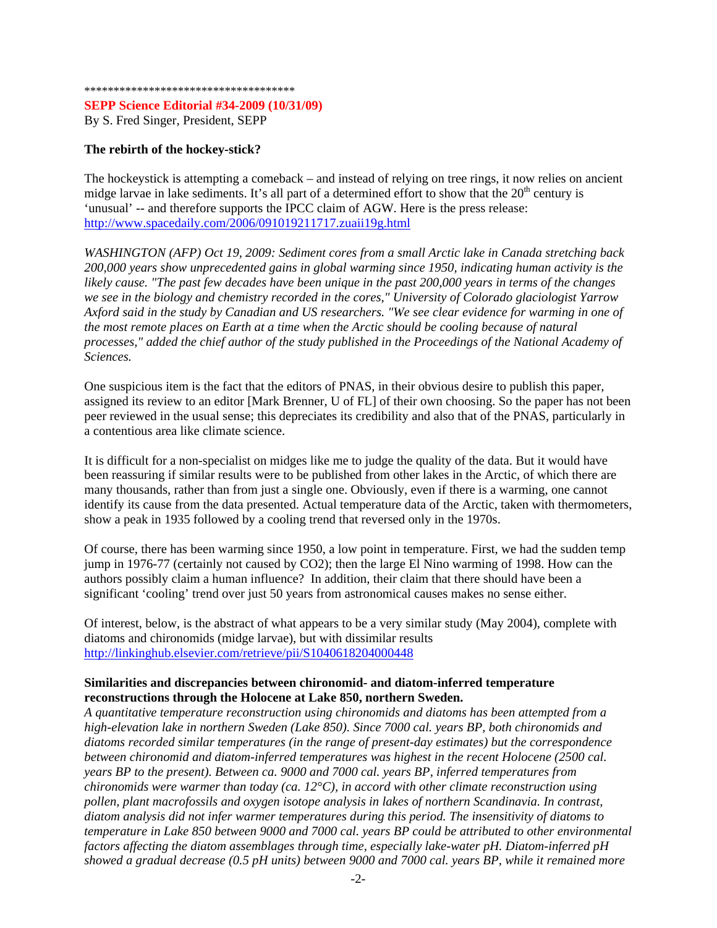#### \*\*\*\*\*\*\*\*\*\*\*\*\*\*\*\*\*\*\*\*\*\*\*\*\*\*\*\*\*\*\*\*\*\*\*\*

#### **SEPP Science Editorial #34-2009 (10/31/09)**

By S. Fred Singer, President, SEPP

#### **The rebirth of the hockey-stick?**

The hockeystick is attempting a comeback – and instead of relying on tree rings, it now relies on ancient midge larvae in lake sediments. It's all part of a determined effort to show that the 20<sup>th</sup> century is 'unusual' -- and therefore supports the IPCC claim of AGW. Here is the press release: http://www.spacedaily.com/2006/091019211717.zuaii19g.html

*WASHINGTON (AFP) Oct 19, 2009: Sediment cores from a small Arctic lake in Canada stretching back 200,000 years show unprecedented gains in global warming since 1950, indicating human activity is the likely cause. "The past few decades have been unique in the past 200,000 years in terms of the changes we see in the biology and chemistry recorded in the cores," University of Colorado glaciologist Yarrow Axford said in the study by Canadian and US researchers. "We see clear evidence for warming in one of the most remote places on Earth at a time when the Arctic should be cooling because of natural processes," added the chief author of the study published in the Proceedings of the National Academy of Sciences.* 

One suspicious item is the fact that the editors of PNAS, in their obvious desire to publish this paper, assigned its review to an editor [Mark Brenner, U of FL] of their own choosing. So the paper has not been peer reviewed in the usual sense; this depreciates its credibility and also that of the PNAS, particularly in a contentious area like climate science.

It is difficult for a non-specialist on midges like me to judge the quality of the data. But it would have been reassuring if similar results were to be published from other lakes in the Arctic, of which there are many thousands, rather than from just a single one. Obviously, even if there is a warming, one cannot identify its cause from the data presented. Actual temperature data of the Arctic, taken with thermometers, show a peak in 1935 followed by a cooling trend that reversed only in the 1970s.

Of course, there has been warming since 1950, a low point in temperature. First, we had the sudden temp jump in 1976-77 (certainly not caused by CO2); then the large El Nino warming of 1998. How can the authors possibly claim a human influence? In addition, their claim that there should have been a significant 'cooling' trend over just 50 years from astronomical causes makes no sense either.

Of interest, below, is the abstract of what appears to be a very similar study (May 2004), complete with diatoms and chironomids (midge larvae), but with dissimilar results http://linkinghub.elsevier.com/retrieve/pii/S1040618204000448

#### **Similarities and discrepancies between chironomid- and diatom-inferred temperature reconstructions through the Holocene at Lake 850, northern Sweden.**

*A quantitative temperature reconstruction using chironomids and diatoms has been attempted from a high-elevation lake in northern Sweden (Lake 850). Since 7000 cal. years BP, both chironomids and diatoms recorded similar temperatures (in the range of present-day estimates) but the correspondence between chironomid and diatom-inferred temperatures was highest in the recent Holocene (2500 cal. years BP to the present). Between ca. 9000 and 7000 cal. years BP, inferred temperatures from chironomids were warmer than today (ca. 12°C), in accord with other climate reconstruction using pollen, plant macrofossils and oxygen isotope analysis in lakes of northern Scandinavia. In contrast, diatom analysis did not infer warmer temperatures during this period. The insensitivity of diatoms to temperature in Lake 850 between 9000 and 7000 cal. years BP could be attributed to other environmental factors affecting the diatom assemblages through time, especially lake-water pH. Diatom-inferred pH showed a gradual decrease (0.5 pH units) between 9000 and 7000 cal. years BP, while it remained more*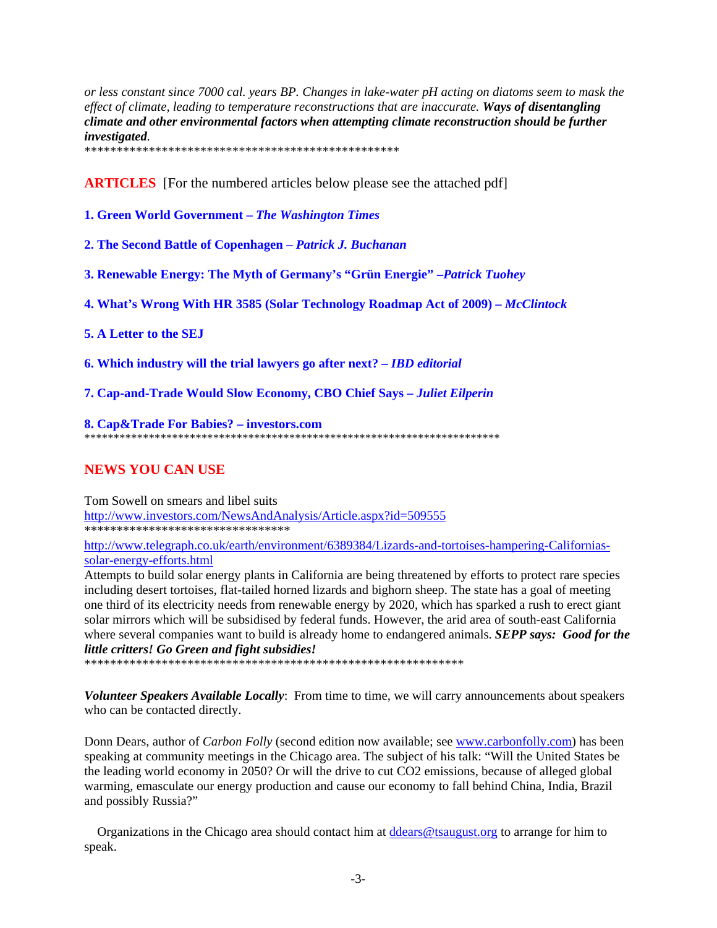*or less constant since 7000 cal. years BP. Changes in lake-water pH acting on diatoms seem to mask the effect of climate, leading to temperature reconstructions that are inaccurate. Ways of disentangling climate and other environmental factors when attempting climate reconstruction should be further investigated.* 

\*\*\*\*\*\*\*\*\*\*\*\*\*\*\*\*\*\*\*\*\*\*\*\*\*\*\*\*\*\*\*\*\*\*\*\*\*\*\*\*\*\*\*\*\*\*\*\*\*

**ARTICLES** [For the numbered articles below please see the attached pdf]

**1. Green World Government –** *The Washington Times* 

**2. The Second Battle of Copenhagen –** *Patrick J. Buchanan* 

**3. Renewable Energy: The Myth of Germany's "Grün Energie" –***Patrick Tuohey* 

**4. What's Wrong With HR 3585 (Solar Technology Roadmap Act of 2009) –** *McClintock*

**5. A Letter to the SEJ** 

**6. Which industry will the trial lawyers go after next? –** *IBD editorial*

**7. Cap-and-Trade Would Slow Economy, CBO Chief Says –** *Juliet Eilperin*

#### **8. Cap&Trade For Babies? – investors.com**

\*\*\*\*\*\*\*\*\*\*\*\*\*\*\*\*\*\*\*\*\*\*\*\*\*\*\*\*\*\*\*\*\*\*\*\*\*\*\*\*\*\*\*\*\*\*\*\*\*\*\*\*\*\*\*\*\*\*\*\*\*\*\*\*\*\*\*\*\*\*\*

## **NEWS YOU CAN USE**

Tom Sowell on smears and libel suits http://www.investors.com/NewsAndAnalysis/Article.aspx?id=509555 \*\*\*\*\*\*\*\*\*\*\*\*\*\*\*\*\*\*\*\*\*\*\*\*\*\*\*\*\*\*\*

http://www.telegraph.co.uk/earth/environment/6389384/Lizards-and-tortoises-hampering-Californiassolar-energy-efforts.html

Attempts to build solar energy plants in California are being threatened by efforts to protect rare species including desert tortoises, flat-tailed horned lizards and bighorn sheep. The state has a goal of meeting one third of its electricity needs from renewable energy by 2020, which has sparked a rush to erect giant solar mirrors which will be subsidised by federal funds. However, the arid area of south-east California where several companies want to build is already home to endangered animals. *SEPP says: Good for the little critters! Go Green and fight subsidies!*

\*\*\*\*\*\*\*\*\*\*\*\*\*\*\*\*\*\*\*\*\*\*\*\*\*\*\*\*\*\*\*\*\*\*\*\*\*\*\*\*\*\*\*\*\*\*\*\*\*\*\*\*\*\*\*\*\*\*\*

*Volunteer Speakers Available Locally*: From time to time, we will carry announcements about speakers who can be contacted directly.

Donn Dears, author of *Carbon Folly* (second edition now available; see www.carbonfolly.com) has been speaking at community meetings in the Chicago area. The subject of his talk: "Will the United States be the leading world economy in 2050? Or will the drive to cut CO2 emissions, because of alleged global warming, emasculate our energy production and cause our economy to fall behind China, India, Brazil and possibly Russia?"

 Organizations in the Chicago area should contact him at ddears@tsaugust.org to arrange for him to speak.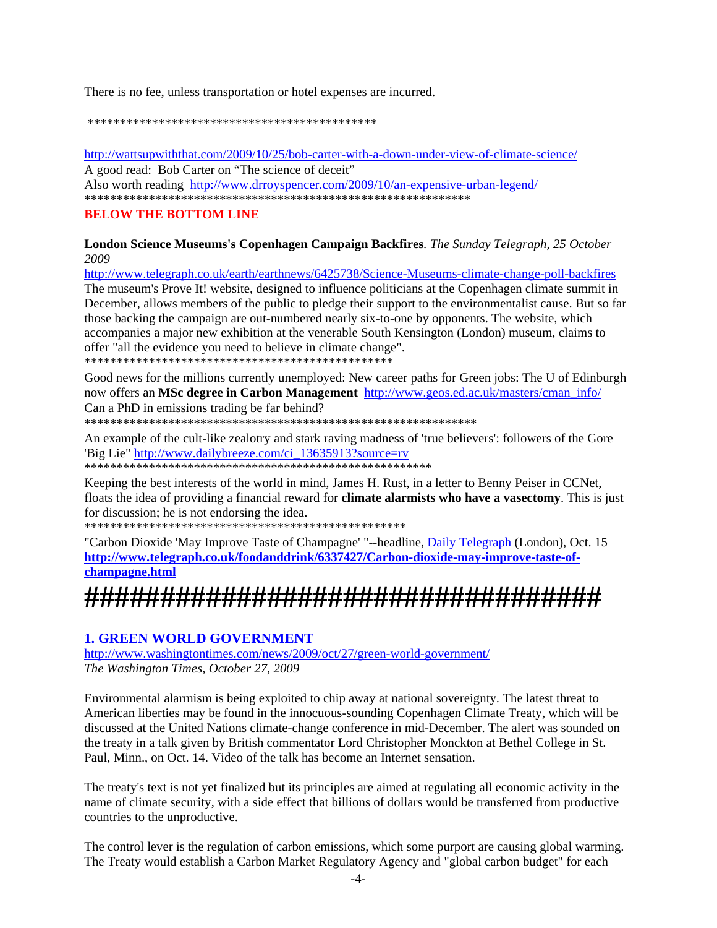There is no fee, unless transportation or hotel expenses are incurred.

\*\*\*\*\*\*\*\*\*\*\*\*\*\*\*\*\*\*\*\*\*\*\*\*\*\*\*\*\*\*\*\*\*\*\*\*\*\*\*\*\*\*\*\*\*

http://wattsupwiththat.com/2009/10/25/bob-carter-with-a-down-under-view-of-climate-science/ A good read: Bob Carter on "The science of deceit" Also worth reading http://www.drroyspencer.com/2009/10/an-expensive-urban-legend/ \*\*\*\*\*\*\*\*\*\*\*\*\*\*\*\*\*\*\*\*\*\*\*\*\*\*\*\*\*\*\*\*\*\*\*\*\*\*\*\*\*\*\*\*\*\*\*\*\*\*\*\*\*\*\*\*\*\*\*\*

## **BELOW THE BOTTOM LINE**

**London Science Museums's Copenhagen Campaign Backfires***. The Sunday Telegraph, 25 October 2009*

http://www.telegraph.co.uk/earth/earthnews/6425738/Science-Museums-climate-change-poll-backfires The museum's Prove It! website, designed to influence politicians at the Copenhagen climate summit in December, allows members of the public to pledge their support to the environmentalist cause. But so far those backing the campaign are out-numbered nearly six-to-one by opponents. The website, which accompanies a major new exhibition at the venerable South Kensington (London) museum, claims to offer "all the evidence you need to believe in climate change". \*\*\*\*\*\*\*\*\*\*\*\*\*\*\*\*\*\*\*\*\*\*\*\*\*\*\*\*\*\*\*\*\*\*\*\*\*\*\*\*\*\*\*\*\*\*\*\*

Good news for the millions currently unemployed: New career paths for Green jobs: The U of Edinburgh now offers an **MSc degree in Carbon Management** http://www.geos.ed.ac.uk/masters/cman\_info/ Can a PhD in emissions trading be far behind?

\*\*\*\*\*\*\*\*\*\*\*\*\*\*\*\*\*\*\*\*\*\*\*\*\*\*\*\*\*\*\*\*\*\*\*\*\*\*\*\*\*\*\*\*\*\*\*\*\*\*\*\*\*\*\*\*\*\*\*\*\*

An example of the cult-like zealotry and stark raving madness of 'true believers': followers of the Gore 'Big Lie" http://www.dailybreeze.com/ci\_13635913?source=rv \*\*\*\*\*\*\*\*\*\*\*\*\*\*\*\*\*\*\*\*\*\*\*\*\*\*\*\*\*\*\*\*\*\*\*\*\*\*\*\*\*\*\*\*\*\*\*\*\*\*\*\*\*\*

Keeping the best interests of the world in mind, James H. Rust, in a letter to Benny Peiser in CCNet, floats the idea of providing a financial reward for **climate alarmists who have a vasectomy**. This is just for discussion; he is not endorsing the idea.

\*\*\*\*\*\*\*\*\*\*\*\*\*\*\*\*\*\*\*\*\*\*\*\*\*\*\*\*\*\*\*\*\*\*\*\*\*\*\*\*\*\*\*\*\*\*\*\*\*\*

"Carbon Dioxide 'May Improve Taste of Champagne' "--headline, Daily Telegraph (London), Oct. 15 **http://www.telegraph.co.uk/foodanddrink/6337427/Carbon-dioxide-may-improve-taste-ofchampagne.html**

# **##################################**

# **1. GREEN WORLD GOVERNMENT**

http://www.washingtontimes.com/news/2009/oct/27/green-world-government/ *The Washington Times, October 27, 2009* 

Environmental alarmism is being exploited to chip away at national sovereignty. The latest threat to American liberties may be found in the innocuous-sounding Copenhagen Climate Treaty, which will be discussed at the United Nations climate-change conference in mid-December. The alert was sounded on the treaty in a talk given by British commentator Lord Christopher Monckton at Bethel College in St. Paul, Minn., on Oct. 14. Video of the talk has become an Internet sensation.

The treaty's text is not yet finalized but its principles are aimed at regulating all economic activity in the name of climate security, with a side effect that billions of dollars would be transferred from productive countries to the unproductive.

The control lever is the regulation of carbon emissions, which some purport are causing global warming. The Treaty would establish a Carbon Market Regulatory Agency and "global carbon budget" for each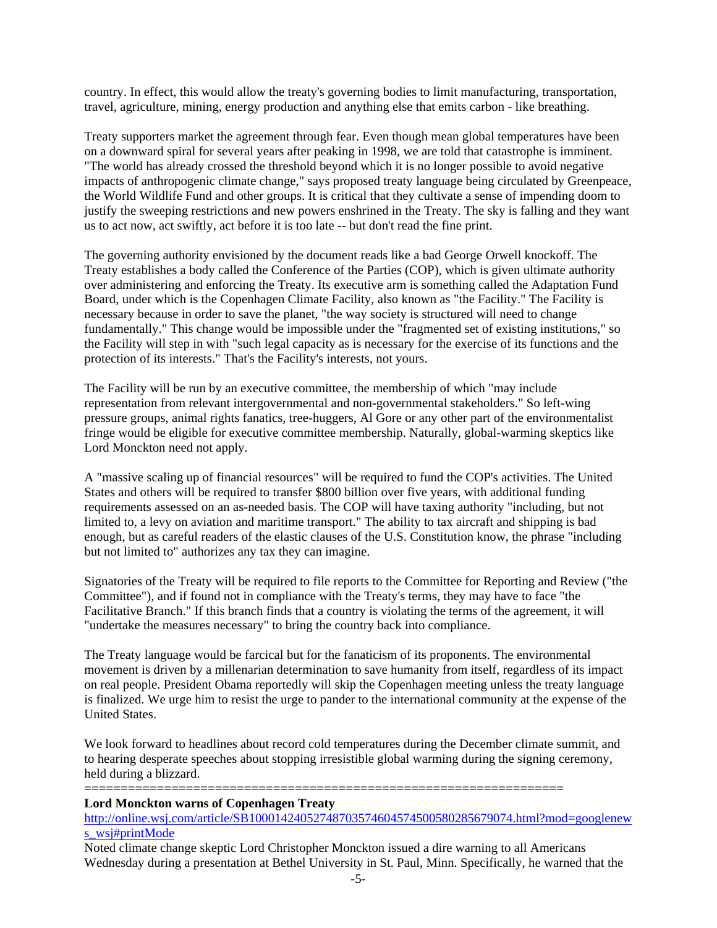country. In effect, this would allow the treaty's governing bodies to limit manufacturing, transportation, travel, agriculture, mining, energy production and anything else that emits carbon - like breathing.

Treaty supporters market the agreement through fear. Even though mean global temperatures have been on a downward spiral for several years after peaking in 1998, we are told that catastrophe is imminent. "The world has already crossed the threshold beyond which it is no longer possible to avoid negative impacts of anthropogenic climate change," says proposed treaty language being circulated by Greenpeace, the World Wildlife Fund and other groups. It is critical that they cultivate a sense of impending doom to justify the sweeping restrictions and new powers enshrined in the Treaty. The sky is falling and they want us to act now, act swiftly, act before it is too late -- but don't read the fine print.

The governing authority envisioned by the document reads like a bad George Orwell knockoff. The Treaty establishes a body called the Conference of the Parties (COP), which is given ultimate authority over administering and enforcing the Treaty. Its executive arm is something called the Adaptation Fund Board, under which is the Copenhagen Climate Facility, also known as "the Facility." The Facility is necessary because in order to save the planet, "the way society is structured will need to change fundamentally." This change would be impossible under the "fragmented set of existing institutions," so the Facility will step in with "such legal capacity as is necessary for the exercise of its functions and the protection of its interests." That's the Facility's interests, not yours.

The Facility will be run by an executive committee, the membership of which "may include representation from relevant intergovernmental and non-governmental stakeholders." So left-wing pressure groups, animal rights fanatics, tree-huggers, Al Gore or any other part of the environmentalist fringe would be eligible for executive committee membership. Naturally, global-warming skeptics like Lord Monckton need not apply.

A "massive scaling up of financial resources" will be required to fund the COP's activities. The United States and others will be required to transfer \$800 billion over five years, with additional funding requirements assessed on an as-needed basis. The COP will have taxing authority "including, but not limited to, a levy on aviation and maritime transport." The ability to tax aircraft and shipping is bad enough, but as careful readers of the elastic clauses of the U.S. Constitution know, the phrase "including but not limited to" authorizes any tax they can imagine.

Signatories of the Treaty will be required to file reports to the Committee for Reporting and Review ("the Committee"), and if found not in compliance with the Treaty's terms, they may have to face "the Facilitative Branch." If this branch finds that a country is violating the terms of the agreement, it will "undertake the measures necessary" to bring the country back into compliance.

The Treaty language would be farcical but for the fanaticism of its proponents. The environmental movement is driven by a millenarian determination to save humanity from itself, regardless of its impact on real people. President Obama reportedly will skip the Copenhagen meeting unless the treaty language is finalized. We urge him to resist the urge to pander to the international community at the expense of the United States.

We look forward to headlines about record cold temperatures during the December climate summit, and to hearing desperate speeches about stopping irresistible global warming during the signing ceremony, held during a blizzard.

==================================================================

#### **Lord Monckton warns of Copenhagen Treaty**

http://online.wsj.com/article/SB10001424052748703574604574500580285679074.html?mod=googlenew s\_wsj#printMode

Noted climate change skeptic Lord Christopher Monckton issued a dire warning to all Americans Wednesday during a presentation at Bethel University in St. Paul, Minn. Specifically, he warned that the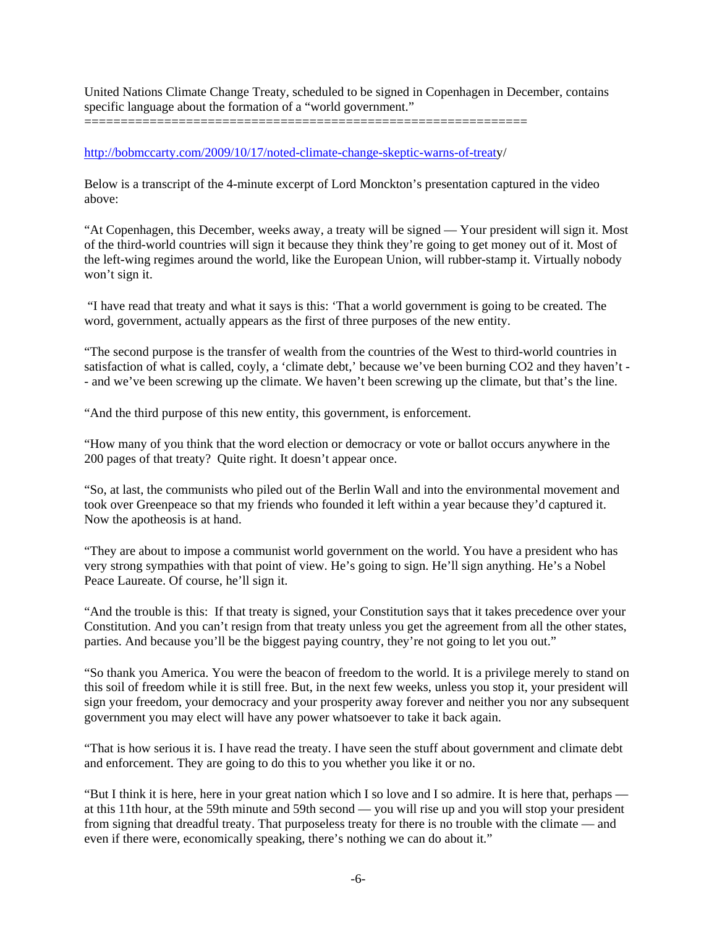United Nations Climate Change Treaty, scheduled to be signed in Copenhagen in December, contains specific language about the formation of a "world government."

=============================================================

#### http://bobmccarty.com/2009/10/17/noted-climate-change-skeptic-warns-of-treaty/

Below is a transcript of the 4-minute excerpt of Lord Monckton's presentation captured in the video above:

"At Copenhagen, this December, weeks away, a treaty will be signed — Your president will sign it. Most of the third-world countries will sign it because they think they're going to get money out of it. Most of the left-wing regimes around the world, like the European Union, will rubber-stamp it. Virtually nobody won't sign it.

 "I have read that treaty and what it says is this: 'That a world government is going to be created. The word, government, actually appears as the first of three purposes of the new entity.

"The second purpose is the transfer of wealth from the countries of the West to third-world countries in satisfaction of what is called, coyly, a 'climate debt,' because we've been burning CO2 and they haven't - - and we've been screwing up the climate. We haven't been screwing up the climate, but that's the line.

"And the third purpose of this new entity, this government, is enforcement.

"How many of you think that the word election or democracy or vote or ballot occurs anywhere in the 200 pages of that treaty? Quite right. It doesn't appear once.

"So, at last, the communists who piled out of the Berlin Wall and into the environmental movement and took over Greenpeace so that my friends who founded it left within a year because they'd captured it. Now the apotheosis is at hand.

"They are about to impose a communist world government on the world. You have a president who has very strong sympathies with that point of view. He's going to sign. He'll sign anything. He's a Nobel Peace Laureate. Of course, he'll sign it.

"And the trouble is this: If that treaty is signed, your Constitution says that it takes precedence over your Constitution. And you can't resign from that treaty unless you get the agreement from all the other states, parties. And because you'll be the biggest paying country, they're not going to let you out."

"So thank you America. You were the beacon of freedom to the world. It is a privilege merely to stand on this soil of freedom while it is still free. But, in the next few weeks, unless you stop it, your president will sign your freedom, your democracy and your prosperity away forever and neither you nor any subsequent government you may elect will have any power whatsoever to take it back again.

"That is how serious it is. I have read the treaty. I have seen the stuff about government and climate debt and enforcement. They are going to do this to you whether you like it or no.

"But I think it is here, here in your great nation which I so love and I so admire. It is here that, perhaps at this 11th hour, at the 59th minute and 59th second — you will rise up and you will stop your president from signing that dreadful treaty. That purposeless treaty for there is no trouble with the climate — and even if there were, economically speaking, there's nothing we can do about it."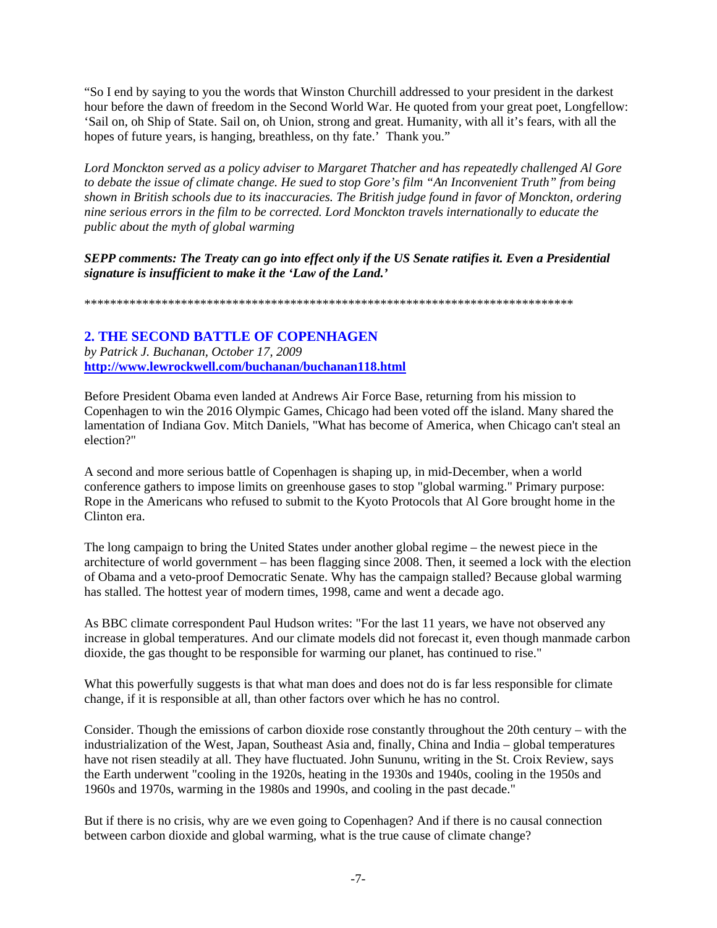"So I end by saying to you the words that Winston Churchill addressed to your president in the darkest hour before the dawn of freedom in the Second World War. He quoted from your great poet, Longfellow: 'Sail on, oh Ship of State. Sail on, oh Union, strong and great. Humanity, with all it's fears, with all the hopes of future years, is hanging, breathless, on thy fate.<sup>'</sup> Thank you."

*Lord Monckton served as a policy adviser to Margaret Thatcher and has repeatedly challenged Al Gore to debate the issue of climate change. He sued to stop Gore's film "An Inconvenient Truth" from being shown in British schools due to its inaccuracies. The British judge found in favor of Monckton, ordering nine serious errors in the film to be corrected. Lord Monckton travels internationally to educate the public about the myth of global warming* 

*SEPP comments: The Treaty can go into effect only if the US Senate ratifies it. Even a Presidential signature is insufficient to make it the 'Law of the Land.'* 

\*\*\*\*\*\*\*\*\*\*\*\*\*\*\*\*\*\*\*\*\*\*\*\*\*\*\*\*\*\*\*\*\*\*\*\*\*\*\*\*\*\*\*\*\*\*\*\*\*\*\*\*\*\*\*\*\*\*\*\*\*\*\*\*\*\*\*\*\*\*\*\*\*\*\*\*

# **2. THE SECOND BATTLE OF COPENHAGEN**

*by Patrick J. Buchanan, October 17, 2009* **http://www.lewrockwell.com/buchanan/buchanan118.html**

Before President Obama even landed at Andrews Air Force Base, returning from his mission to Copenhagen to win the 2016 Olympic Games, Chicago had been voted off the island. Many shared the lamentation of Indiana Gov. Mitch Daniels, "What has become of America, when Chicago can't steal an election?"

A second and more serious battle of Copenhagen is shaping up, in mid-December, when a world conference gathers to impose limits on greenhouse gases to stop "global warming." Primary purpose: Rope in the Americans who refused to submit to the Kyoto Protocols that Al Gore brought home in the Clinton era.

The long campaign to bring the United States under another global regime – the newest piece in the architecture of world government – has been flagging since 2008. Then, it seemed a lock with the election of Obama and a veto-proof Democratic Senate. Why has the campaign stalled? Because global warming has stalled. The hottest year of modern times, 1998, came and went a decade ago.

As BBC climate correspondent Paul Hudson writes: "For the last 11 years, we have not observed any increase in global temperatures. And our climate models did not forecast it, even though manmade carbon dioxide, the gas thought to be responsible for warming our planet, has continued to rise."

What this powerfully suggests is that what man does and does not do is far less responsible for climate change, if it is responsible at all, than other factors over which he has no control.

Consider. Though the emissions of carbon dioxide rose constantly throughout the 20th century – with the industrialization of the West, Japan, Southeast Asia and, finally, China and India – global temperatures have not risen steadily at all. They have fluctuated. John Sununu, writing in the St. Croix Review, says the Earth underwent "cooling in the 1920s, heating in the 1930s and 1940s, cooling in the 1950s and 1960s and 1970s, warming in the 1980s and 1990s, and cooling in the past decade."

But if there is no crisis, why are we even going to Copenhagen? And if there is no causal connection between carbon dioxide and global warming, what is the true cause of climate change?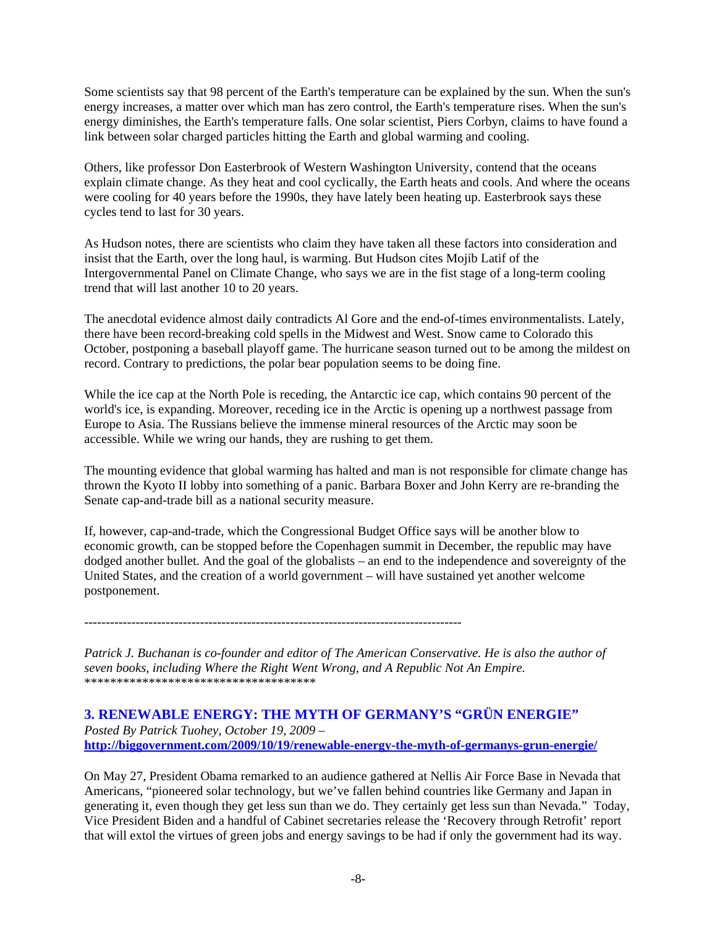Some scientists say that 98 percent of the Earth's temperature can be explained by the sun. When the sun's energy increases, a matter over which man has zero control, the Earth's temperature rises. When the sun's energy diminishes, the Earth's temperature falls. One solar scientist, Piers Corbyn, claims to have found a link between solar charged particles hitting the Earth and global warming and cooling.

Others, like professor Don Easterbrook of Western Washington University, contend that the oceans explain climate change. As they heat and cool cyclically, the Earth heats and cools. And where the oceans were cooling for 40 years before the 1990s, they have lately been heating up. Easterbrook says these cycles tend to last for 30 years.

As Hudson notes, there are scientists who claim they have taken all these factors into consideration and insist that the Earth, over the long haul, is warming. But Hudson cites Mojib Latif of the Intergovernmental Panel on Climate Change, who says we are in the fist stage of a long-term cooling trend that will last another 10 to 20 years.

The anecdotal evidence almost daily contradicts Al Gore and the end-of-times environmentalists. Lately, there have been record-breaking cold spells in the Midwest and West. Snow came to Colorado this October, postponing a baseball playoff game. The hurricane season turned out to be among the mildest on record. Contrary to predictions, the polar bear population seems to be doing fine.

While the ice cap at the North Pole is receding, the Antarctic ice cap, which contains 90 percent of the world's ice, is expanding. Moreover, receding ice in the Arctic is opening up a northwest passage from Europe to Asia. The Russians believe the immense mineral resources of the Arctic may soon be accessible. While we wring our hands, they are rushing to get them.

The mounting evidence that global warming has halted and man is not responsible for climate change has thrown the Kyoto II lobby into something of a panic. Barbara Boxer and John Kerry are re-branding the Senate cap-and-trade bill as a national security measure.

If, however, cap-and-trade, which the Congressional Budget Office says will be another blow to economic growth, can be stopped before the Copenhagen summit in December, the republic may have dodged another bullet. And the goal of the globalists – an end to the independence and sovereignty of the United States, and the creation of a world government – will have sustained yet another welcome postponement.

*Patrick J. Buchanan is co-founder and editor of The American Conservative. He is also the author of seven books, including Where the Right Went Wrong, and A Republic Not An Empire.* \*\*\*\*\*\*\*\*\*\*\*\*\*\*\*\*\*\*\*\*\*\*\*\*\*\*\*\*\*\*\*\*\*\*\*\*

#### **3. RENEWABLE ENERGY: THE MYTH OF GERMANY'S "GRÜN ENERGIE"**  *Posted By Patrick Tuohey, October 19, 2009 –*

**http://biggovernment.com/2009/10/19/renewable-energy-the-myth-of-germanys-grun-energie/**

On May 27, President Obama remarked to an audience gathered at Nellis Air Force Base in Nevada that Americans, "pioneered solar technology, but we've fallen behind countries like Germany and Japan in generating it, even though they get less sun than we do. They certainly get less sun than Nevada." Today, Vice President Biden and a handful of Cabinet secretaries release the 'Recovery through Retrofit' report that will extol the virtues of green jobs and energy savings to be had if only the government had its way.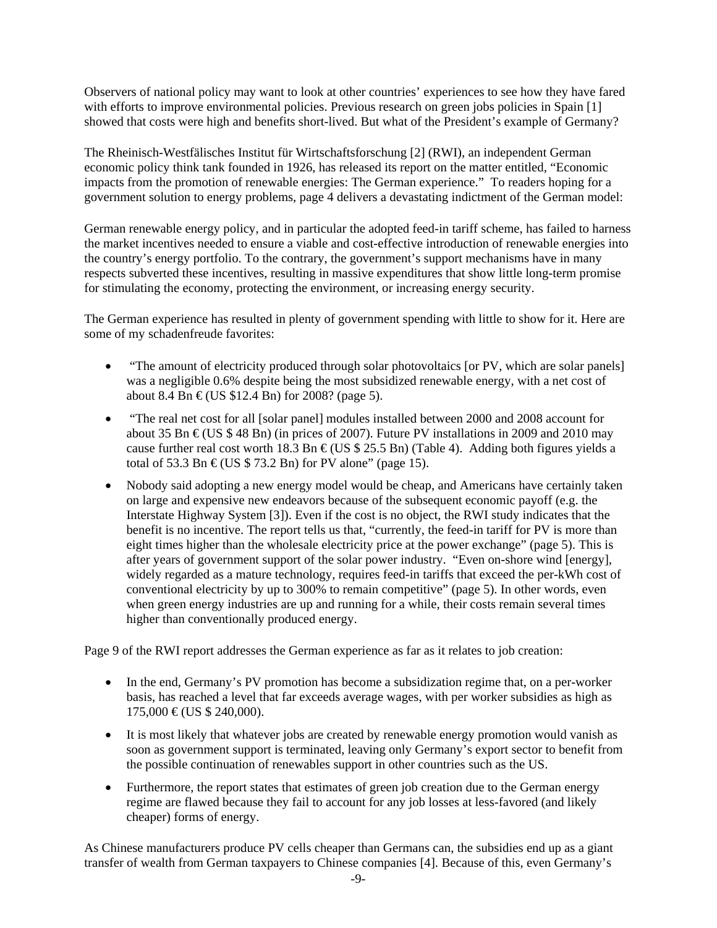Observers of national policy may want to look at other countries' experiences to see how they have fared with efforts to improve environmental policies. Previous research on green jobs policies in Spain [1] showed that costs were high and benefits short-lived. But what of the President's example of Germany?

The Rheinisch-Westfälisches Institut für Wirtschaftsforschung [2] (RWI), an independent German economic policy think tank founded in 1926, has released its report on the matter entitled, "Economic impacts from the promotion of renewable energies: The German experience." To readers hoping for a government solution to energy problems, page 4 delivers a devastating indictment of the German model:

German renewable energy policy, and in particular the adopted feed-in tariff scheme, has failed to harness the market incentives needed to ensure a viable and cost-effective introduction of renewable energies into the country's energy portfolio. To the contrary, the government's support mechanisms have in many respects subverted these incentives, resulting in massive expenditures that show little long-term promise for stimulating the economy, protecting the environment, or increasing energy security.

The German experience has resulted in plenty of government spending with little to show for it. Here are some of my schadenfreude favorites:

- "The amount of electricity produced through solar photovoltaics [or PV, which are solar panels] was a negligible 0.6% despite being the most subsidized renewable energy, with a net cost of about 8.4 Bn € (US  $$12.4$  Bn) for 2008? (page 5).
- "The real net cost for all [solar panel] modules installed between 2000 and 2008 account for about 35 Bn  $\epsilon$ (US \$ 48 Bn) (in prices of 2007). Future PV installations in 2009 and 2010 may cause further real cost worth 18.3 Bn  $\epsilon$ (US \$ 25.5 Bn) (Table 4). Adding both figures yields a total of 53.3 Bn  $\epsilon$ (US \$ 73.2 Bn) for PV alone" (page 15).
- Nobody said adopting a new energy model would be cheap, and Americans have certainly taken on large and expensive new endeavors because of the subsequent economic payoff (e.g. the Interstate Highway System [3]). Even if the cost is no object, the RWI study indicates that the benefit is no incentive. The report tells us that, "currently, the feed-in tariff for PV is more than eight times higher than the wholesale electricity price at the power exchange" (page 5). This is after years of government support of the solar power industry. "Even on-shore wind [energy], widely regarded as a mature technology, requires feed-in tariffs that exceed the per-kWh cost of conventional electricity by up to 300% to remain competitive" (page 5). In other words, even when green energy industries are up and running for a while, their costs remain several times higher than conventionally produced energy.

Page 9 of the RWI report addresses the German experience as far as it relates to job creation:

- In the end, Germany's PV promotion has become a subsidization regime that, on a per-worker basis, has reached a level that far exceeds average wages, with per worker subsidies as high as  $175,000 \in (US \ $ 240,000).$
- It is most likely that whatever jobs are created by renewable energy promotion would vanish as soon as government support is terminated, leaving only Germany's export sector to benefit from the possible continuation of renewables support in other countries such as the US.
- Furthermore, the report states that estimates of green job creation due to the German energy regime are flawed because they fail to account for any job losses at less-favored (and likely cheaper) forms of energy.

As Chinese manufacturers produce PV cells cheaper than Germans can, the subsidies end up as a giant transfer of wealth from German taxpayers to Chinese companies [4]. Because of this, even Germany's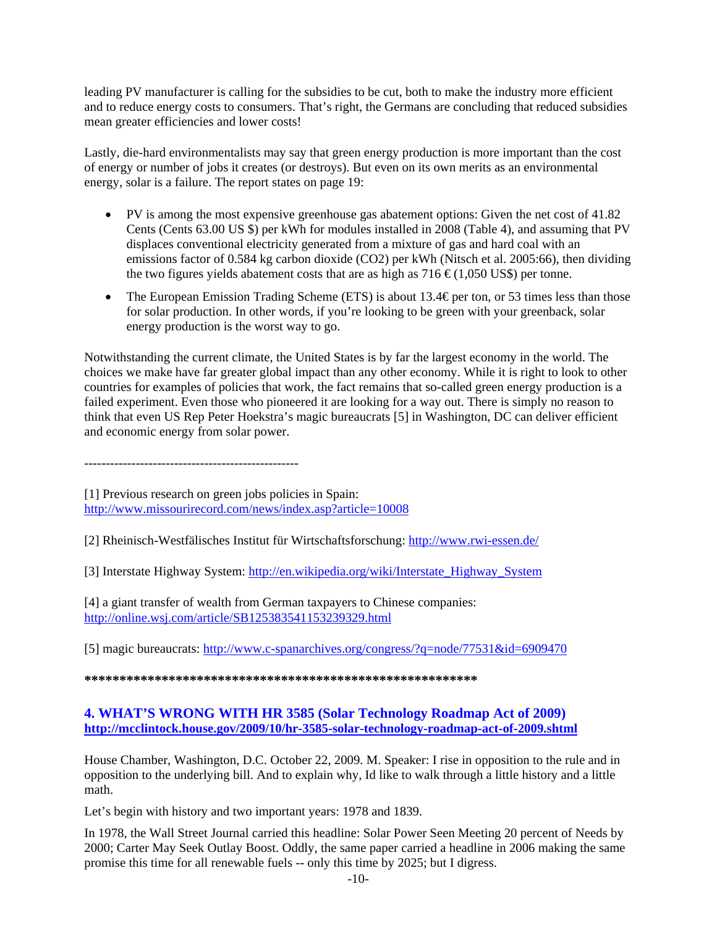leading PV manufacturer is calling for the subsidies to be cut, both to make the industry more efficient and to reduce energy costs to consumers. That's right, the Germans are concluding that reduced subsidies mean greater efficiencies and lower costs!

Lastly, die-hard environmentalists may say that green energy production is more important than the cost of energy or number of jobs it creates (or destroys). But even on its own merits as an environmental energy, solar is a failure. The report states on page 19:

- PV is among the most expensive greenhouse gas abatement options: Given the net cost of 41.82 Cents (Cents 63.00 US \$) per kWh for modules installed in 2008 (Table 4), and assuming that PV displaces conventional electricity generated from a mixture of gas and hard coal with an emissions factor of 0.584 kg carbon dioxide (CO2) per kWh (Nitsch et al. 2005:66), then dividing the two figures yields abatement costs that are as high as  $716 \text{ } \in (1,050 \text{ } \text{US})$  per tonne.
- The European Emission Trading Scheme (ETS) is about  $13.4\epsilon$  per ton, or 53 times less than those for solar production. In other words, if you're looking to be green with your greenback, solar energy production is the worst way to go.

Notwithstanding the current climate, the United States is by far the largest economy in the world. The choices we make have far greater global impact than any other economy. While it is right to look to other countries for examples of policies that work, the fact remains that so-called green energy production is a failed experiment. Even those who pioneered it are looking for a way out. There is simply no reason to think that even US Rep Peter Hoekstra's magic bureaucrats [5] in Washington, DC can deliver efficient and economic energy from solar power.

--------------------------------------------------

[1] Previous research on green jobs policies in Spain: http://www.missourirecord.com/news/index.asp?article=10008

[2] Rheinisch-Westfälisches Institut für Wirtschaftsforschung: http://www.rwi-essen.de/

[3] Interstate Highway System: http://en.wikipedia.org/wiki/Interstate\_Highway\_System

[4] a giant transfer of wealth from German taxpayers to Chinese companies: http://online.wsj.com/article/SB125383541153239329.html

[5] magic bureaucrats: http://www.c-spanarchives.org/congress/?q=node/77531&id=6909470

**\*\*\*\*\*\*\*\*\*\*\*\*\*\*\*\*\*\*\*\*\*\*\*\*\*\*\*\*\*\*\*\*\*\*\*\*\*\*\*\*\*\*\*\*\*\*\*\*\*\*\*\*\*\*\*\*** 

## **4. WHAT'S WRONG WITH HR 3585 (Solar Technology Roadmap Act of 2009) http://mcclintock.house.gov/2009/10/hr-3585-solar-technology-roadmap-act-of-2009.shtml**

House Chamber, Washington, D.C. October 22, 2009. M. Speaker: I rise in opposition to the rule and in opposition to the underlying bill. And to explain why, Id like to walk through a little history and a little math.

Let's begin with history and two important years: 1978 and 1839.

In 1978, the Wall Street Journal carried this headline: Solar Power Seen Meeting 20 percent of Needs by 2000; Carter May Seek Outlay Boost. Oddly, the same paper carried a headline in 2006 making the same promise this time for all renewable fuels -- only this time by 2025; but I digress.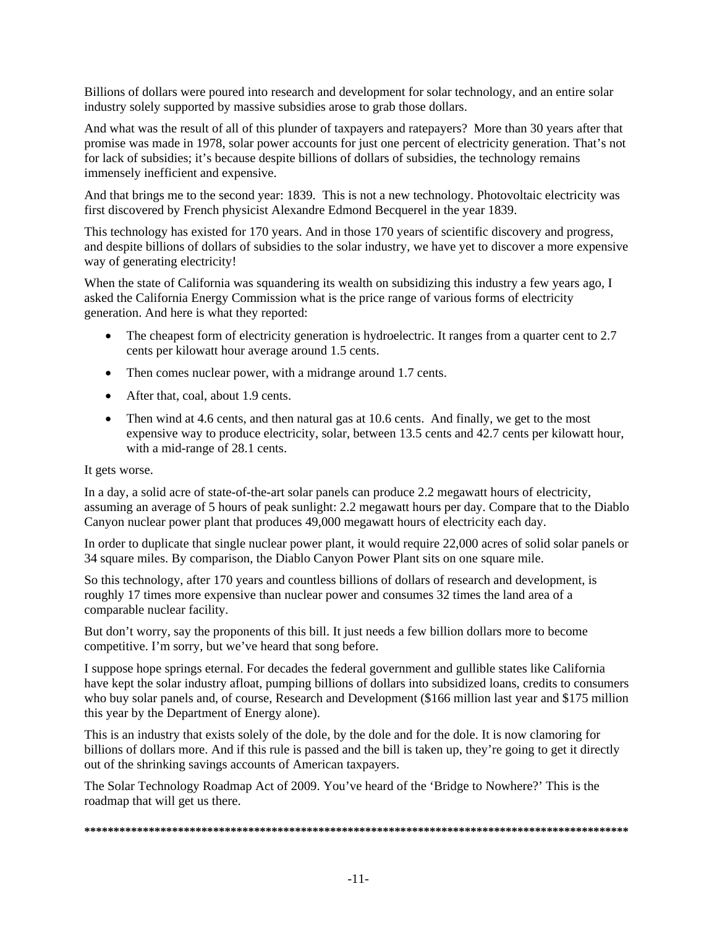Billions of dollars were poured into research and development for solar technology, and an entire solar industry solely supported by massive subsidies arose to grab those dollars.

And what was the result of all of this plunder of taxpayers and ratepayers? More than 30 years after that promise was made in 1978, solar power accounts for just one percent of electricity generation. That's not for lack of subsidies; it's because despite billions of dollars of subsidies, the technology remains immensely inefficient and expensive.

And that brings me to the second year: 1839. This is not a new technology. Photovoltaic electricity was first discovered by French physicist Alexandre Edmond Becquerel in the year 1839.

This technology has existed for 170 years. And in those 170 years of scientific discovery and progress, and despite billions of dollars of subsidies to the solar industry, we have yet to discover a more expensive way of generating electricity!

When the state of California was squandering its wealth on subsidizing this industry a few years ago, I asked the California Energy Commission what is the price range of various forms of electricity generation. And here is what they reported:

- The cheapest form of electricity generation is hydroelectric. It ranges from a quarter cent to 2.7 cents per kilowatt hour average around 1.5 cents.
- Then comes nuclear power, with a midrange around 1.7 cents.
- After that, coal, about 1.9 cents.
- Then wind at 4.6 cents, and then natural gas at 10.6 cents. And finally, we get to the most expensive way to produce electricity, solar, between 13.5 cents and 42.7 cents per kilowatt hour, with a mid-range of 28.1 cents.

It gets worse.

In a day, a solid acre of state-of-the-art solar panels can produce 2.2 megawatt hours of electricity, assuming an average of 5 hours of peak sunlight: 2.2 megawatt hours per day. Compare that to the Diablo Canyon nuclear power plant that produces 49,000 megawatt hours of electricity each day.

In order to duplicate that single nuclear power plant, it would require 22,000 acres of solid solar panels or 34 square miles. By comparison, the Diablo Canyon Power Plant sits on one square mile.

So this technology, after 170 years and countless billions of dollars of research and development, is roughly 17 times more expensive than nuclear power and consumes 32 times the land area of a comparable nuclear facility.

But don't worry, say the proponents of this bill. It just needs a few billion dollars more to become competitive. I'm sorry, but we've heard that song before.

I suppose hope springs eternal. For decades the federal government and gullible states like California have kept the solar industry afloat, pumping billions of dollars into subsidized loans, credits to consumers who buy solar panels and, of course, Research and Development (\$166 million last year and \$175 million this year by the Department of Energy alone).

This is an industry that exists solely of the dole, by the dole and for the dole. It is now clamoring for billions of dollars more. And if this rule is passed and the bill is taken up, they're going to get it directly out of the shrinking savings accounts of American taxpayers.

The Solar Technology Roadmap Act of 2009. You've heard of the 'Bridge to Nowhere?' This is the roadmap that will get us there.

**\*\*\*\*\*\*\*\*\*\*\*\*\*\*\*\*\*\*\*\*\*\*\*\*\*\*\*\*\*\*\*\*\*\*\*\*\*\*\*\*\*\*\*\*\*\*\*\*\*\*\*\*\*\*\*\*\*\*\*\*\*\*\*\*\*\*\*\*\*\*\*\*\*\*\*\*\*\*\*\*\*\*\*\*\*\*\*\*\*\*\*\*\***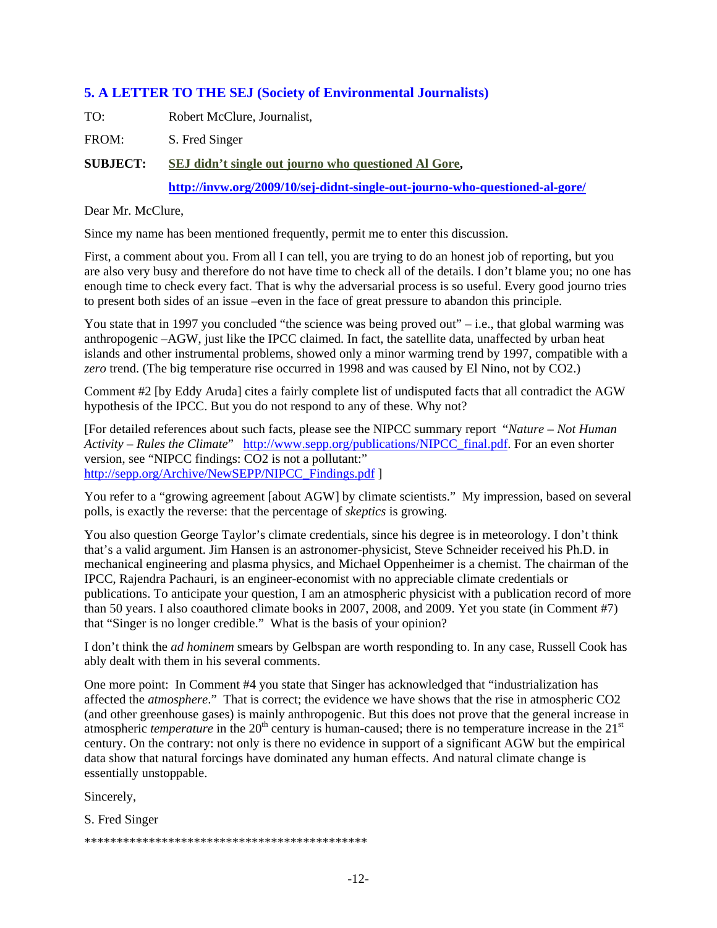# **5. A LETTER TO THE SEJ (Society of Environmental Journalists)**

TO: Robert McClure, Journalist,

FROM: S. Fred Singer

**SUBJECT: SEJ didn't single out journo who questioned Al Gore,** 

**http://invw.org/2009/10/sej-didnt-single-out-journo-who-questioned-al-gore/**

Dear Mr. McClure,

Since my name has been mentioned frequently, permit me to enter this discussion.

First, a comment about you. From all I can tell, you are trying to do an honest job of reporting, but you are also very busy and therefore do not have time to check all of the details. I don't blame you; no one has enough time to check every fact. That is why the adversarial process is so useful. Every good journo tries to present both sides of an issue –even in the face of great pressure to abandon this principle.

You state that in 1997 you concluded "the science was being proved out" – i.e., that global warming was anthropogenic –AGW, just like the IPCC claimed. In fact, the satellite data, unaffected by urban heat islands and other instrumental problems, showed only a minor warming trend by 1997, compatible with a *zero* trend. (The big temperature rise occurred in 1998 and was caused by El Nino, not by CO2.)

Comment #2 [by Eddy Aruda] cites a fairly complete list of undisputed facts that all contradict the AGW hypothesis of the IPCC. But you do not respond to any of these. Why not?

[For detailed references about such facts, please see the NIPCC summary report "*Nature – Not Human Activity – Rules the Climate*" http://www.sepp.org/publications/NIPCC\_final.pdf. For an even shorter version, see "NIPCC findings: CO2 is not a pollutant:" http://sepp.org/Archive/NewSEPP/NIPCC\_Findings.pdf ]

You refer to a "growing agreement [about AGW] by climate scientists." My impression, based on several polls, is exactly the reverse: that the percentage of *skeptics* is growing.

You also question George Taylor's climate credentials, since his degree is in meteorology. I don't think that's a valid argument. Jim Hansen is an astronomer-physicist, Steve Schneider received his Ph.D. in mechanical engineering and plasma physics, and Michael Oppenheimer is a chemist. The chairman of the IPCC, Rajendra Pachauri, is an engineer-economist with no appreciable climate credentials or publications. To anticipate your question, I am an atmospheric physicist with a publication record of more than 50 years. I also coauthored climate books in 2007, 2008, and 2009. Yet you state (in Comment #7) that "Singer is no longer credible." What is the basis of your opinion?

I don't think the *ad hominem* smears by Gelbspan are worth responding to. In any case, Russell Cook has ably dealt with them in his several comments.

One more point: In Comment #4 you state that Singer has acknowledged that "industrialization has affected the *atmosphere*." That is correct; the evidence we have shows that the rise in atmospheric CO2 (and other greenhouse gases) is mainly anthropogenic. But this does not prove that the general increase in atmospheric *temperature* in the 20<sup>th</sup> century is human-caused; there is no temperature increase in the 21<sup>st</sup> century. On the contrary: not only is there no evidence in support of a significant AGW but the empirical data show that natural forcings have dominated any human effects. And natural climate change is essentially unstoppable.

Sincerely,

S. Fred Singer

\*\*\*\*\*\*\*\*\*\*\*\*\*\*\*\*\*\*\*\*\*\*\*\*\*\*\*\*\*\*\*\*\*\*\*\*\*\*\*\*\*\*\*\*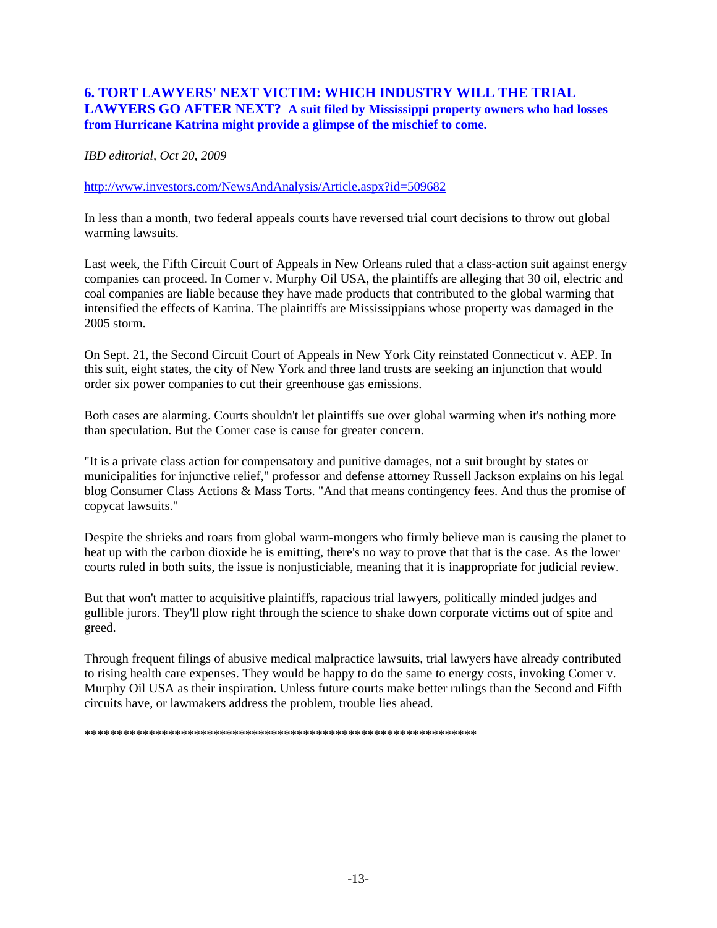## **6. TORT LAWYERS' NEXT VICTIM: WHICH INDUSTRY WILL THE TRIAL LAWYERS GO AFTER NEXT? A suit filed by Mississippi property owners who had losses from Hurricane Katrina might provide a glimpse of the mischief to come.**

*IBD editorial, Oct 20, 2009* 

#### http://www.investors.com/NewsAndAnalysis/Article.aspx?id=509682

In less than a month, two federal appeals courts have reversed trial court decisions to throw out global warming lawsuits.

Last week, the Fifth Circuit Court of Appeals in New Orleans ruled that a class-action suit against energy companies can proceed. In Comer v. Murphy Oil USA, the plaintiffs are alleging that 30 oil, electric and coal companies are liable because they have made products that contributed to the global warming that intensified the effects of Katrina. The plaintiffs are Mississippians whose property was damaged in the 2005 storm.

On Sept. 21, the Second Circuit Court of Appeals in New York City reinstated Connecticut v. AEP. In this suit, eight states, the city of New York and three land trusts are seeking an injunction that would order six power companies to cut their greenhouse gas emissions.

Both cases are alarming. Courts shouldn't let plaintiffs sue over global warming when it's nothing more than speculation. But the Comer case is cause for greater concern.

"It is a private class action for compensatory and punitive damages, not a suit brought by states or municipalities for injunctive relief," professor and defense attorney Russell Jackson explains on his legal blog Consumer Class Actions & Mass Torts. "And that means contingency fees. And thus the promise of copycat lawsuits."

Despite the shrieks and roars from global warm-mongers who firmly believe man is causing the planet to heat up with the carbon dioxide he is emitting, there's no way to prove that that is the case. As the lower courts ruled in both suits, the issue is nonjusticiable, meaning that it is inappropriate for judicial review.

But that won't matter to acquisitive plaintiffs, rapacious trial lawyers, politically minded judges and gullible jurors. They'll plow right through the science to shake down corporate victims out of spite and greed.

Through frequent filings of abusive medical malpractice lawsuits, trial lawyers have already contributed to rising health care expenses. They would be happy to do the same to energy costs, invoking Comer v. Murphy Oil USA as their inspiration. Unless future courts make better rulings than the Second and Fifth circuits have, or lawmakers address the problem, trouble lies ahead.

\*\*\*\*\*\*\*\*\*\*\*\*\*\*\*\*\*\*\*\*\*\*\*\*\*\*\*\*\*\*\*\*\*\*\*\*\*\*\*\*\*\*\*\*\*\*\*\*\*\*\*\*\*\*\*\*\*\*\*\*\*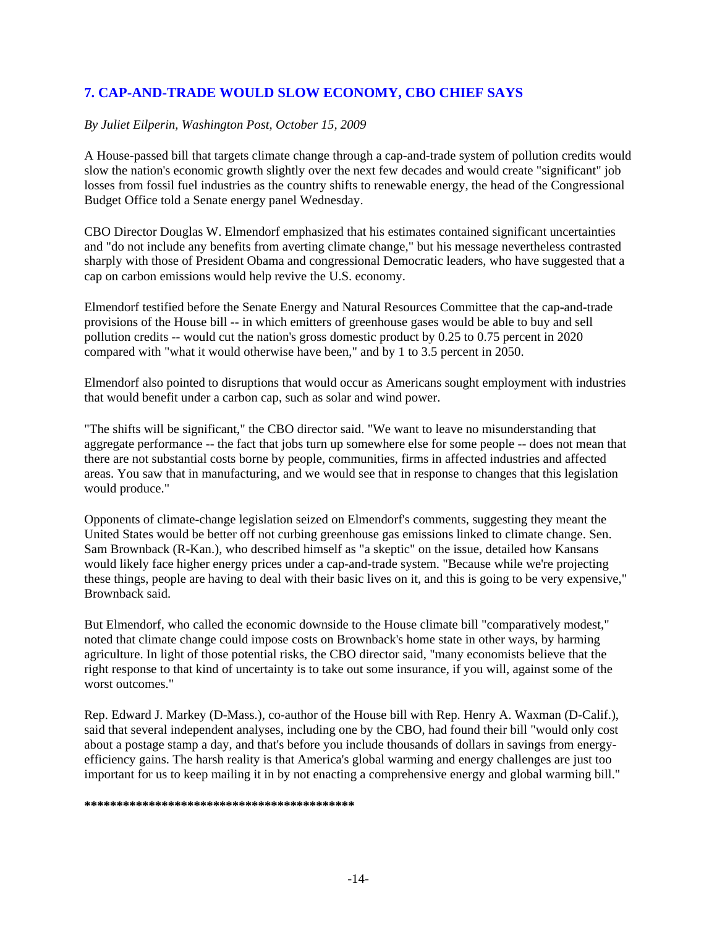# **7. CAP-AND-TRADE WOULD SLOW ECONOMY, CBO CHIEF SAYS**

### *By Juliet Eilperin, Washington Post, October 15, 2009*

A House-passed bill that targets climate change through a cap-and-trade system of pollution credits would slow the nation's economic growth slightly over the next few decades and would create "significant" job losses from fossil fuel industries as the country shifts to renewable energy, the head of the Congressional Budget Office told a Senate energy panel Wednesday.

CBO Director Douglas W. Elmendorf emphasized that his estimates contained significant uncertainties and "do not include any benefits from averting climate change," but his message nevertheless contrasted sharply with those of President Obama and congressional Democratic leaders, who have suggested that a cap on carbon emissions would help revive the U.S. economy.

Elmendorf testified before the Senate Energy and Natural Resources Committee that the cap-and-trade provisions of the House bill -- in which emitters of greenhouse gases would be able to buy and sell pollution credits -- would cut the nation's gross domestic product by 0.25 to 0.75 percent in 2020 compared with "what it would otherwise have been," and by 1 to 3.5 percent in 2050.

Elmendorf also pointed to disruptions that would occur as Americans sought employment with industries that would benefit under a carbon cap, such as solar and wind power.

"The shifts will be significant," the CBO director said. "We want to leave no misunderstanding that aggregate performance -- the fact that jobs turn up somewhere else for some people -- does not mean that there are not substantial costs borne by people, communities, firms in affected industries and affected areas. You saw that in manufacturing, and we would see that in response to changes that this legislation would produce."

Opponents of climate-change legislation seized on Elmendorf's comments, suggesting they meant the United States would be better off not curbing greenhouse gas emissions linked to climate change. Sen. Sam Brownback (R-Kan.), who described himself as "a skeptic" on the issue, detailed how Kansans would likely face higher energy prices under a cap-and-trade system. "Because while we're projecting these things, people are having to deal with their basic lives on it, and this is going to be very expensive," Brownback said.

But Elmendorf, who called the economic downside to the House climate bill "comparatively modest," noted that climate change could impose costs on Brownback's home state in other ways, by harming agriculture. In light of those potential risks, the CBO director said, "many economists believe that the right response to that kind of uncertainty is to take out some insurance, if you will, against some of the worst outcomes."

Rep. Edward J. Markey (D-Mass.), co-author of the House bill with Rep. Henry A. Waxman (D-Calif.), said that several independent analyses, including one by the CBO, had found their bill "would only cost about a postage stamp a day, and that's before you include thousands of dollars in savings from energyefficiency gains. The harsh reality is that America's global warming and energy challenges are just too important for us to keep mailing it in by not enacting a comprehensive energy and global warming bill."

**\*\*\*\*\*\*\*\*\*\*\*\*\*\*\*\*\*\*\*\*\*\*\*\*\*\*\*\*\*\*\*\*\*\*\*\*\*\*\*\*\*\***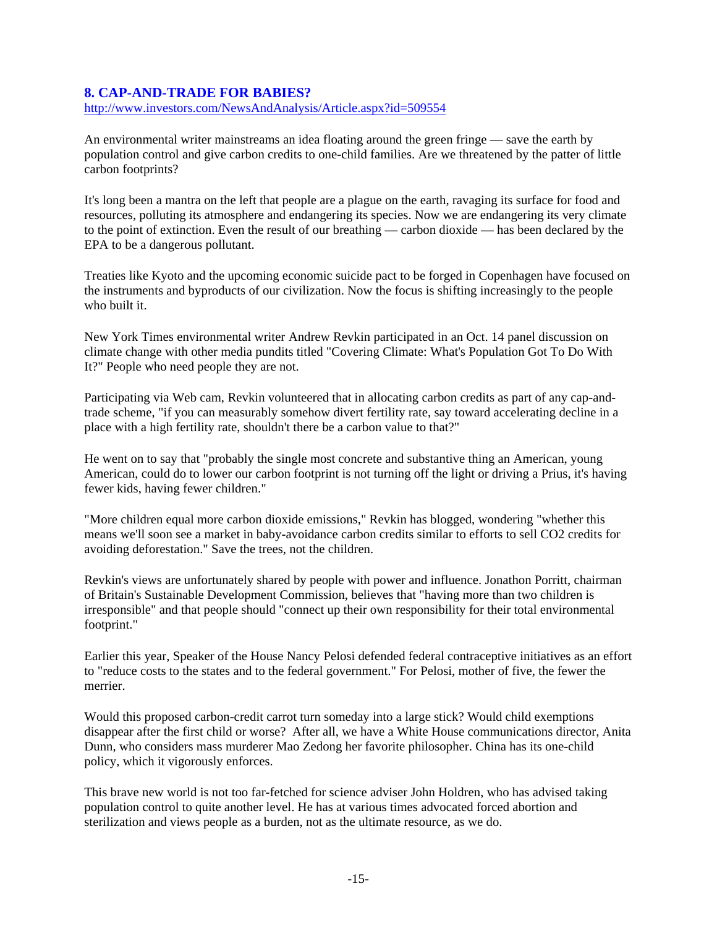## **8. CAP-AND-TRADE FOR BABIES?**

http://www.investors.com/NewsAndAnalysis/Article.aspx?id=509554

An environmental writer mainstreams an idea floating around the green fringe — save the earth by population control and give carbon credits to one-child families. Are we threatened by the patter of little carbon footprints?

It's long been a mantra on the left that people are a plague on the earth, ravaging its surface for food and resources, polluting its atmosphere and endangering its species. Now we are endangering its very climate to the point of extinction. Even the result of our breathing — carbon dioxide — has been declared by the EPA to be a dangerous pollutant.

Treaties like Kyoto and the upcoming economic suicide pact to be forged in Copenhagen have focused on the instruments and byproducts of our civilization. Now the focus is shifting increasingly to the people who built it.

New York Times environmental writer Andrew Revkin participated in an Oct. 14 panel discussion on climate change with other media pundits titled "Covering Climate: What's Population Got To Do With It?" People who need people they are not.

Participating via Web cam, Revkin volunteered that in allocating carbon credits as part of any cap-andtrade scheme, "if you can measurably somehow divert fertility rate, say toward accelerating decline in a place with a high fertility rate, shouldn't there be a carbon value to that?"

He went on to say that "probably the single most concrete and substantive thing an American, young American, could do to lower our carbon footprint is not turning off the light or driving a Prius, it's having fewer kids, having fewer children."

"More children equal more carbon dioxide emissions," Revkin has blogged, wondering "whether this means we'll soon see a market in baby-avoidance carbon credits similar to efforts to sell CO2 credits for avoiding deforestation." Save the trees, not the children.

Revkin's views are unfortunately shared by people with power and influence. Jonathon Porritt, chairman of Britain's Sustainable Development Commission, believes that "having more than two children is irresponsible" and that people should "connect up their own responsibility for their total environmental footprint."

Earlier this year, Speaker of the House Nancy Pelosi defended federal contraceptive initiatives as an effort to "reduce costs to the states and to the federal government." For Pelosi, mother of five, the fewer the merrier.

Would this proposed carbon-credit carrot turn someday into a large stick? Would child exemptions disappear after the first child or worse? After all, we have a White House communications director, Anita Dunn, who considers mass murderer Mao Zedong her favorite philosopher. China has its one-child policy, which it vigorously enforces.

This brave new world is not too far-fetched for science adviser John Holdren, who has advised taking population control to quite another level. He has at various times advocated forced abortion and sterilization and views people as a burden, not as the ultimate resource, as we do.